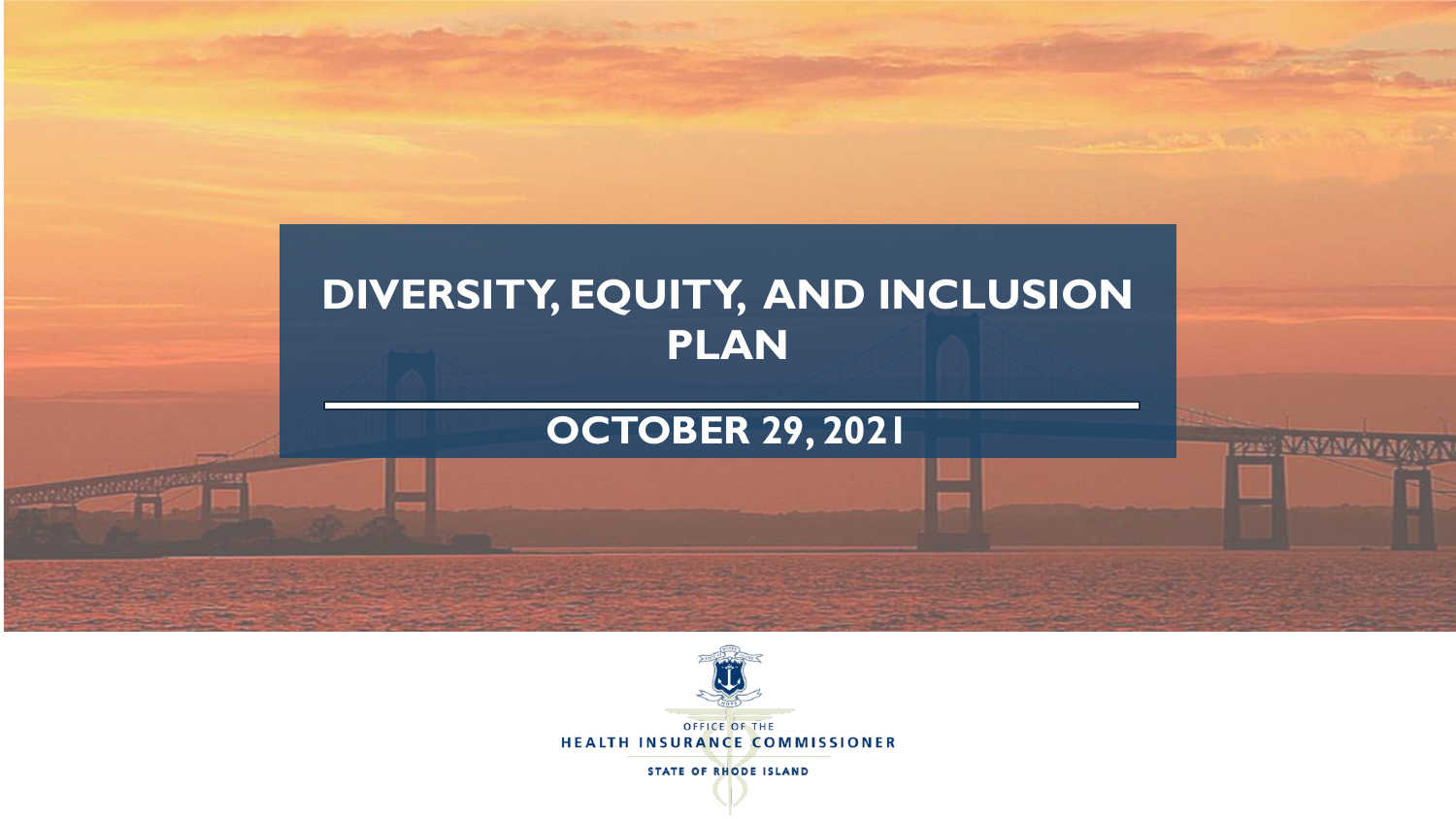



HEALTH INSURANCE COMMISSIONER

**STATE OF RHODE ISLAND**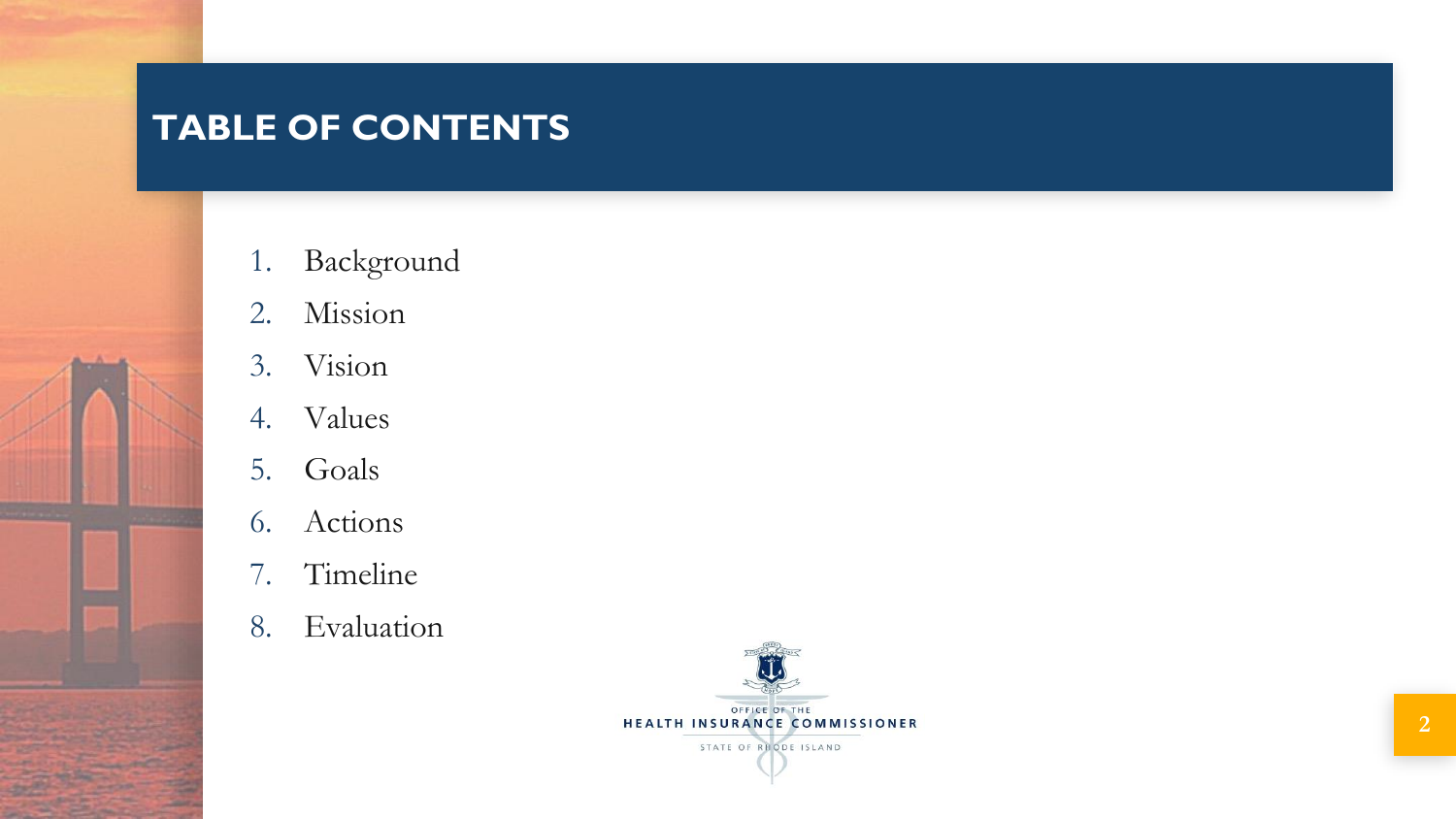# **TABLE OF CONTENTS**

- 1. Background
- 2. Mission
- 3. Vision
- 4. Values
- 5. Goals
- 6. Actions
- 7. Timeline
- 8. Evaluation

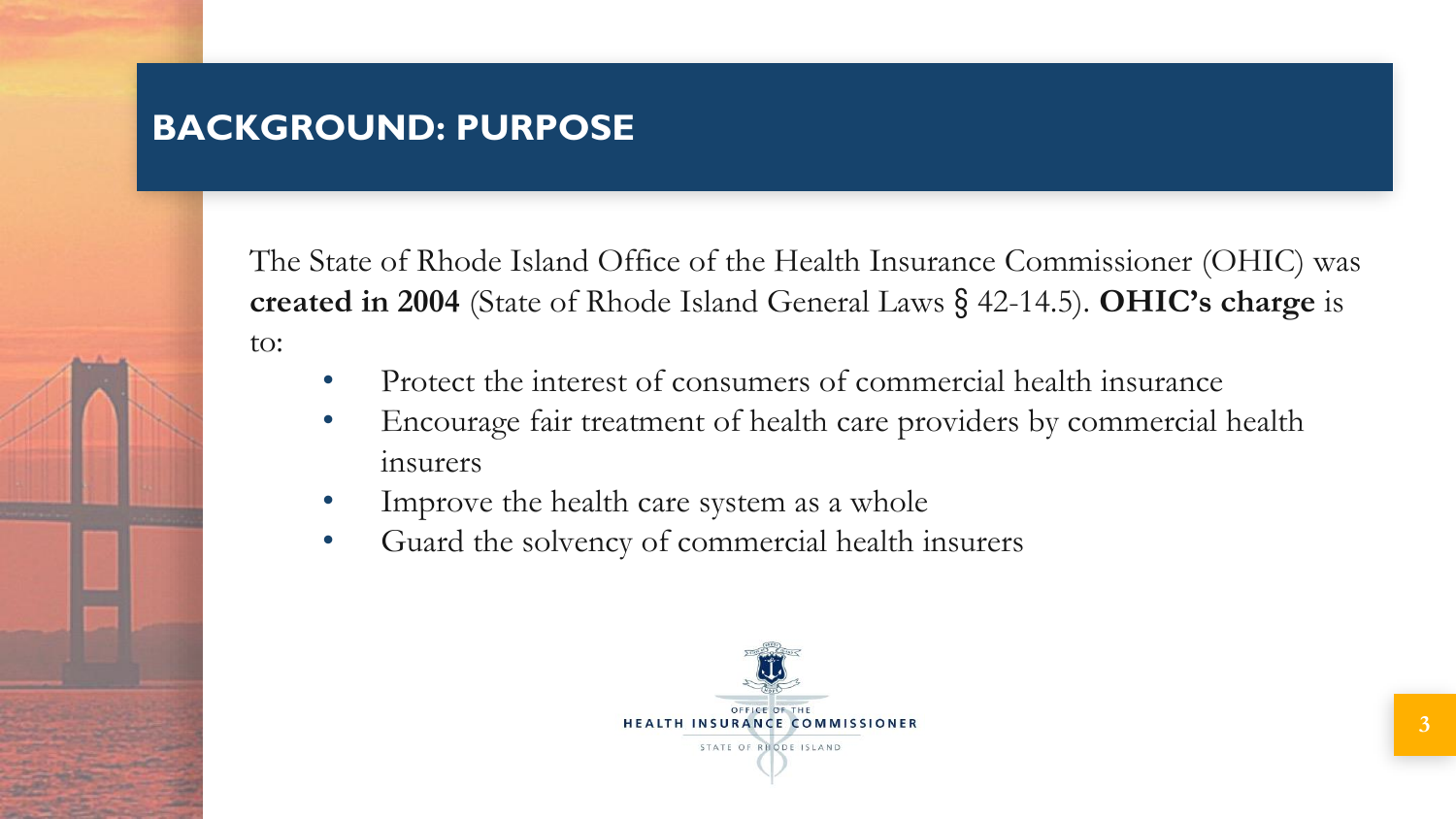# **BACKGROUND: PURPOSE**

The State of Rhode Island Office of the Health Insurance Commissioner (OHIC) was **created in 2004** (State of Rhode Island General Laws § 42-14.5). **OHIC's charge** is to:

- Protect the interest of consumers of commercial health insurance
- Encourage fair treatment of health care providers by commercial health insurers
- Improve the health care system as a whole
- Guard the solvency of commercial health insurers

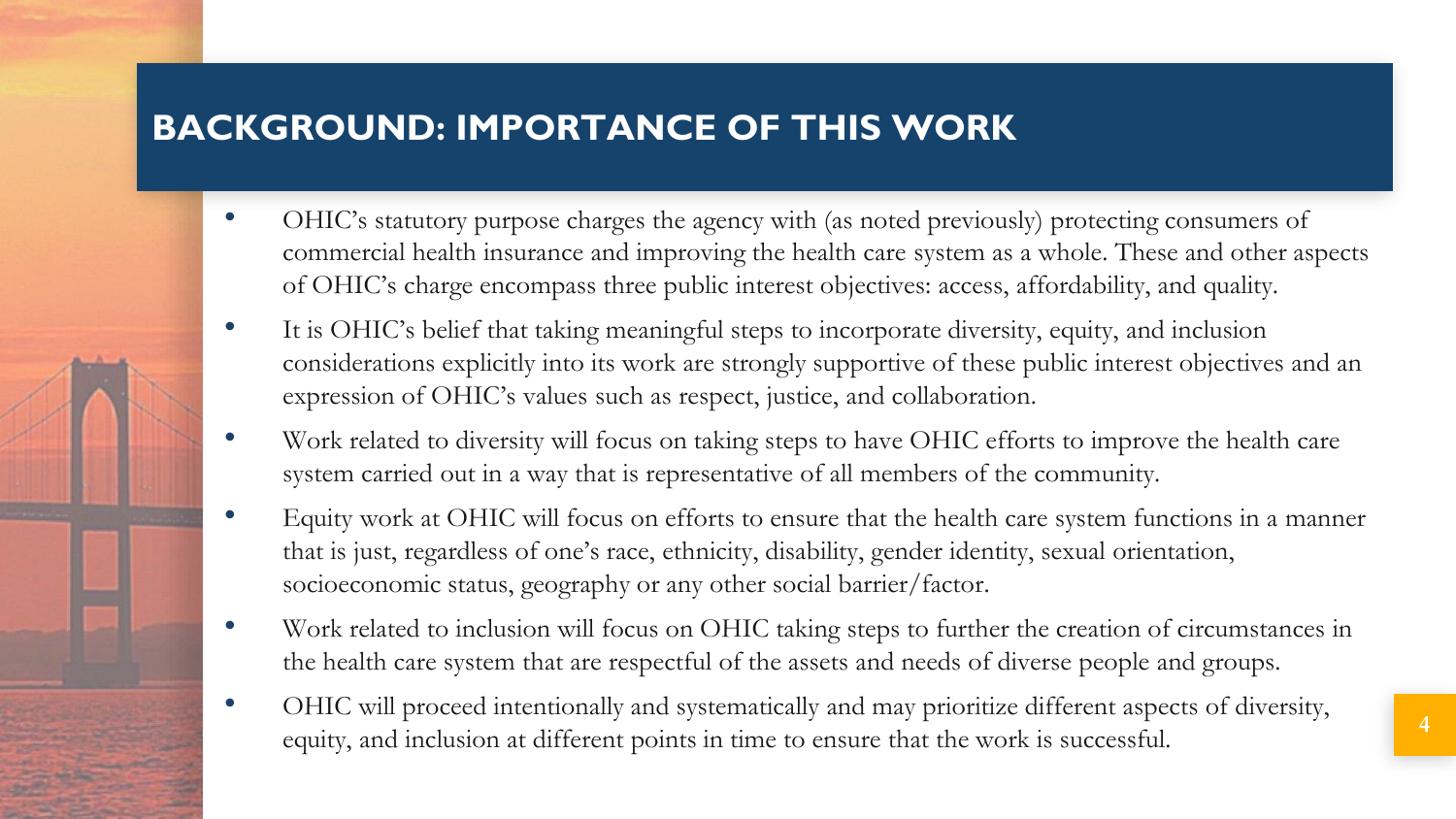# **BACKGROUND: IMPORTANCE OF THIS WORK**

- OHIC's statutory purpose charges the agency with (as noted previously) protecting consumers of commercial health insurance and improving the health care system as a whole. These and other aspects of OHIC's charge encompass three public interest objectives: access, affordability, and quality.
- It is OHIC's belief that taking meaningful steps to incorporate diversity, equity, and inclusion considerations explicitly into its work are strongly supportive of these public interest objectives and an expression of OHIC's values such as respect, justice, and collaboration.
- Work related to diversity will focus on taking steps to have OHIC efforts to improve the health care system carried out in a way that is representative of all members of the community.
- Equity work at OHIC will focus on efforts to ensure that the health care system functions in a manner that is just, regardless of one's race, ethnicity, disability, gender identity, sexual orientation, socioeconomic status, geography or any other social barrier/factor.
- Work related to inclusion will focus on OHIC taking steps to further the creation of circumstances in the health care system that are respectful of the assets and needs of diverse people and groups.
- OHIC will proceed intentionally and systematically and may prioritize different aspects of diversity, equity, and inclusion at different points in time to ensure that the work is successful. **<sup>4</sup>**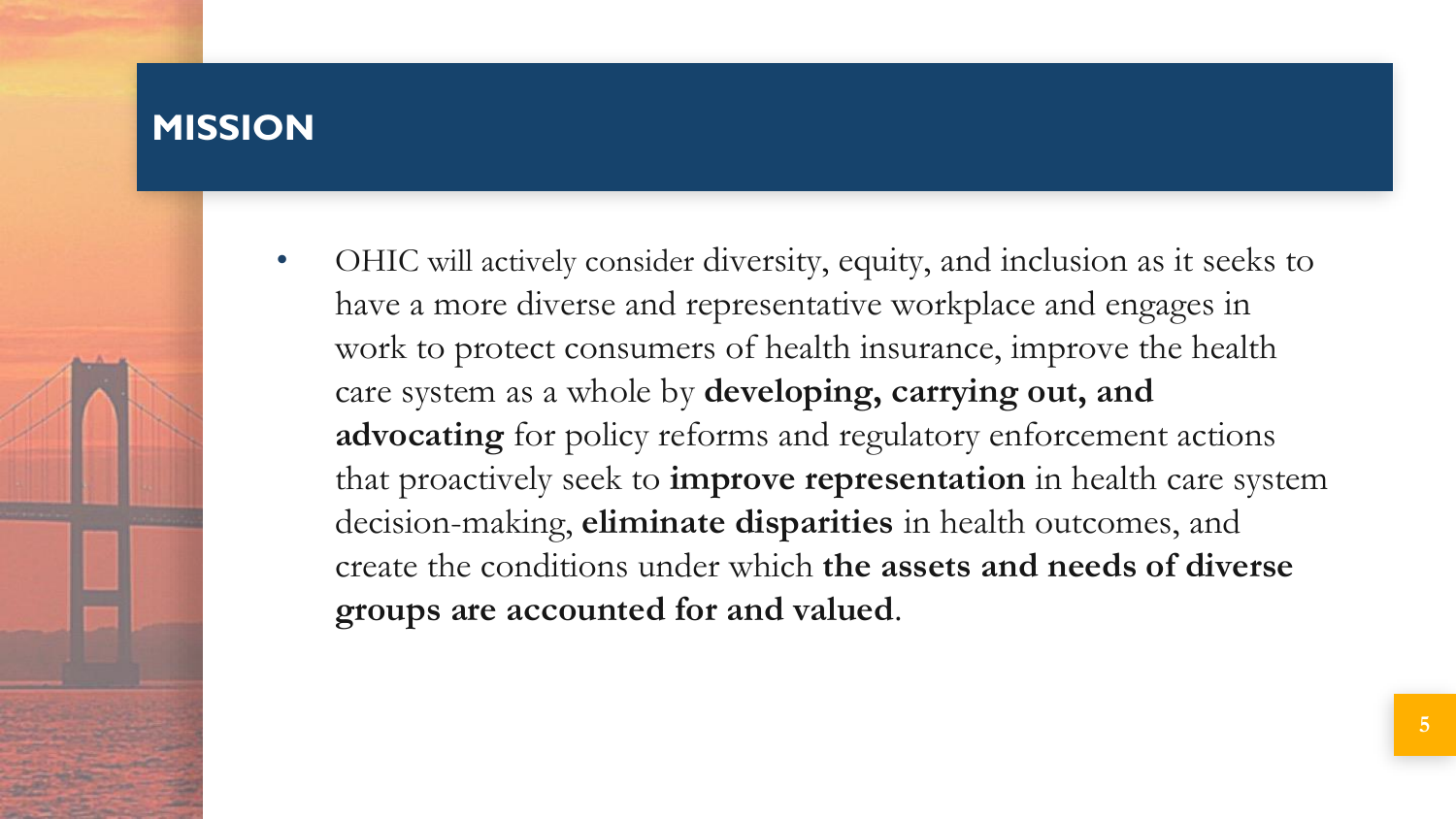#### **MISSION**

• OHIC will actively consider diversity, equity, and inclusion as it seeks to have a more diverse and representative workplace and engages in work to protect consumers of health insurance, improve the health care system as a whole by **developing, carrying out, and advocating** for policy reforms and regulatory enforcement actions that proactively seek to **improve representation** in health care system decision-making, **eliminate disparities** in health outcomes, and create the conditions under which **the assets and needs of diverse groups are accounted for and valued**.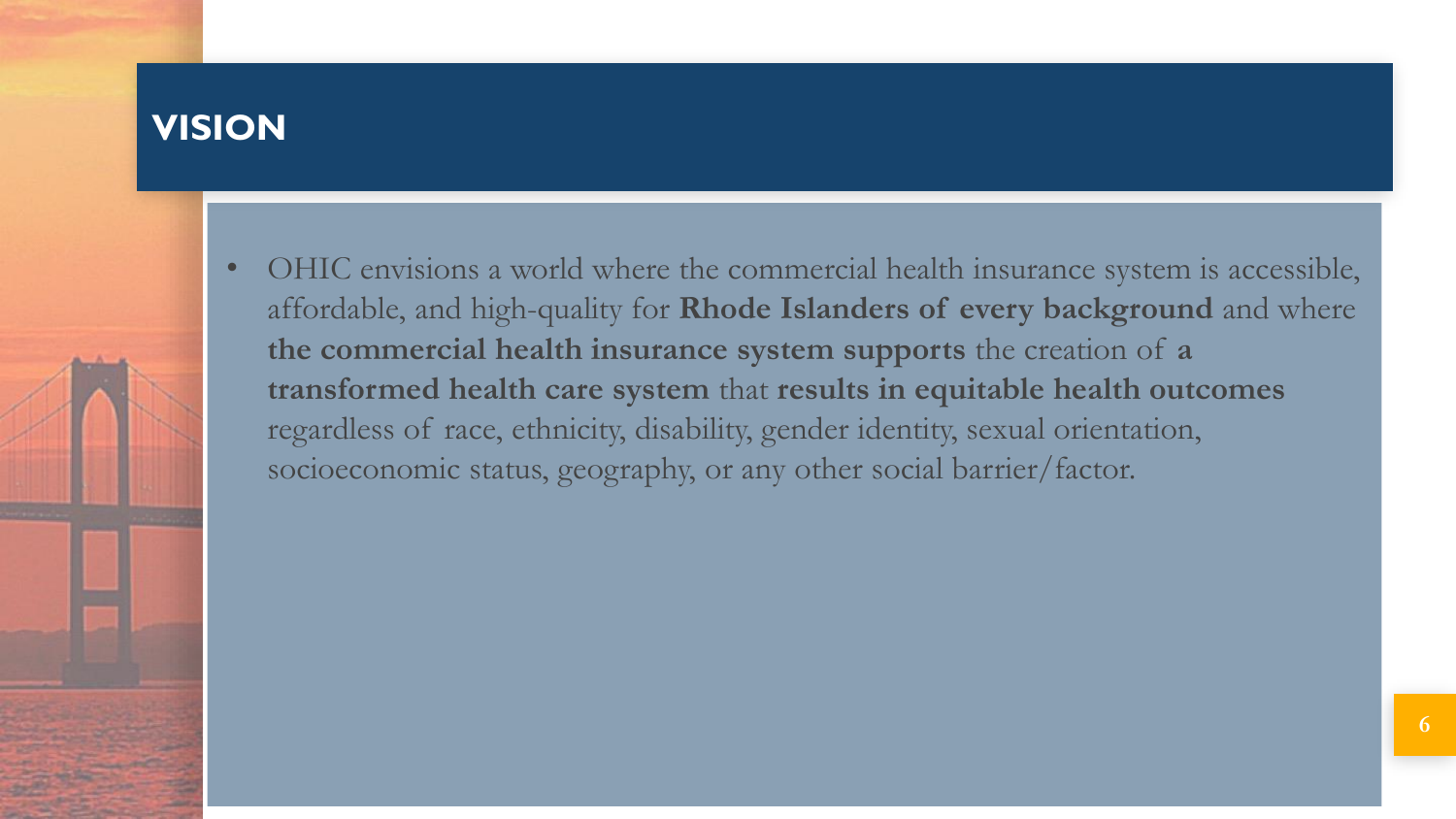### **VISION**

• OHIC envisions a world where the commercial health insurance system is accessible, affordable, and high-quality for **Rhode Islanders of every background** and where **the commercial health insurance system supports** the creation of **a transformed health care system** that **results in equitable health outcomes**  regardless of race, ethnicity, disability, gender identity, sexual orientation, socioeconomic status, geography, or any other social barrier/factor.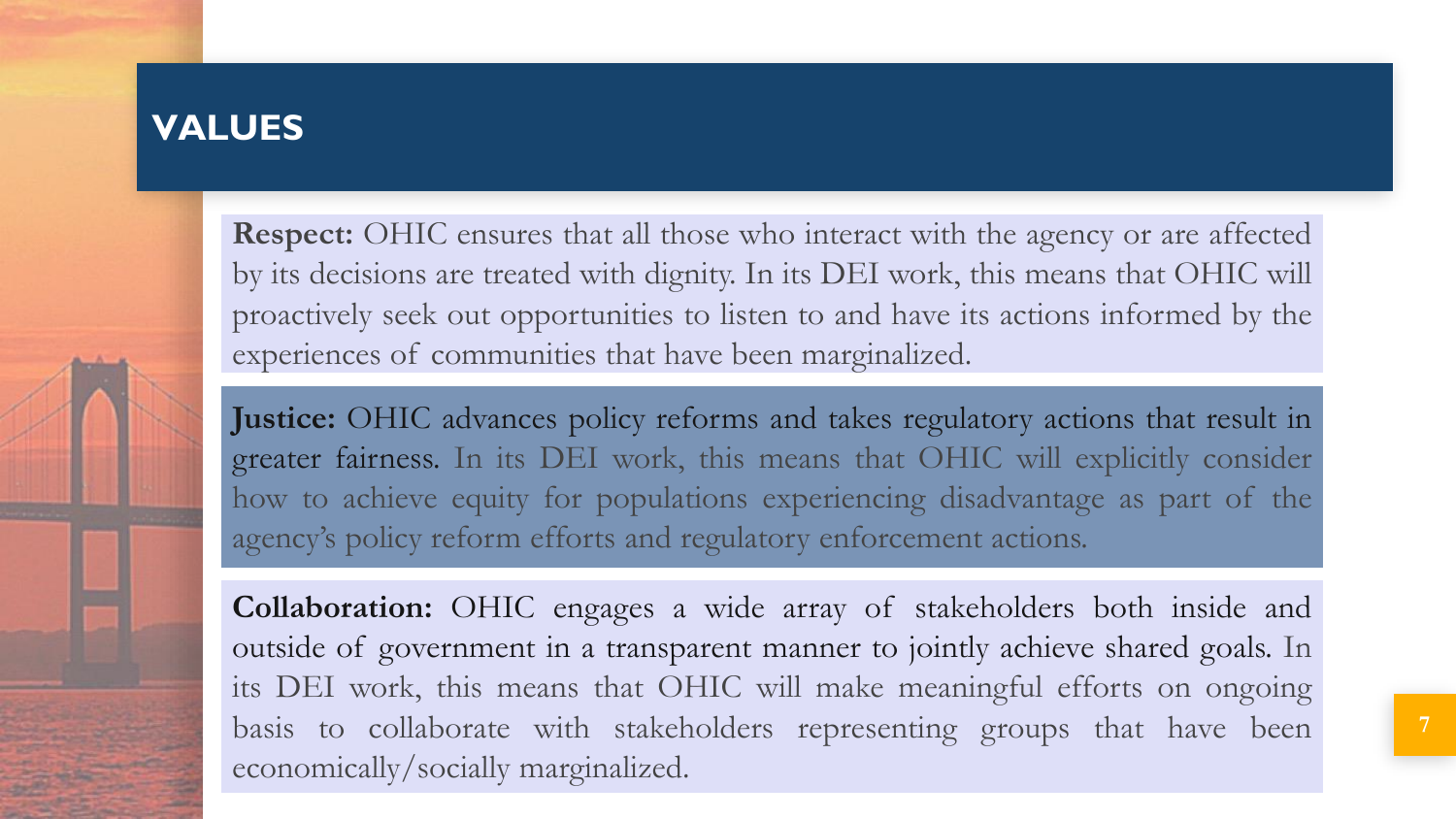### **VALUES**

**Respect:** OHIC ensures that all those who interact with the agency or are affected by its decisions are treated with dignity. In its DEI work, this means that OHIC will proactively seek out opportunities to listen to and have its actions informed by the experiences of communities that have been marginalized.

**Justice:** OHIC advances policy reforms and takes regulatory actions that result in greater fairness. In its DEI work, this means that OHIC will explicitly consider how to achieve equity for populations experiencing disadvantage as part of the agency's policy reform efforts and regulatory enforcement actions.

**Collaboration:** OHIC engages a wide array of stakeholders both inside and outside of government in a transparent manner to jointly achieve shared goals. In its DEI work, this means that OHIC will make meaningful efforts on ongoing basis to collaborate with stakeholders representing groups that have been economically/socially marginalized.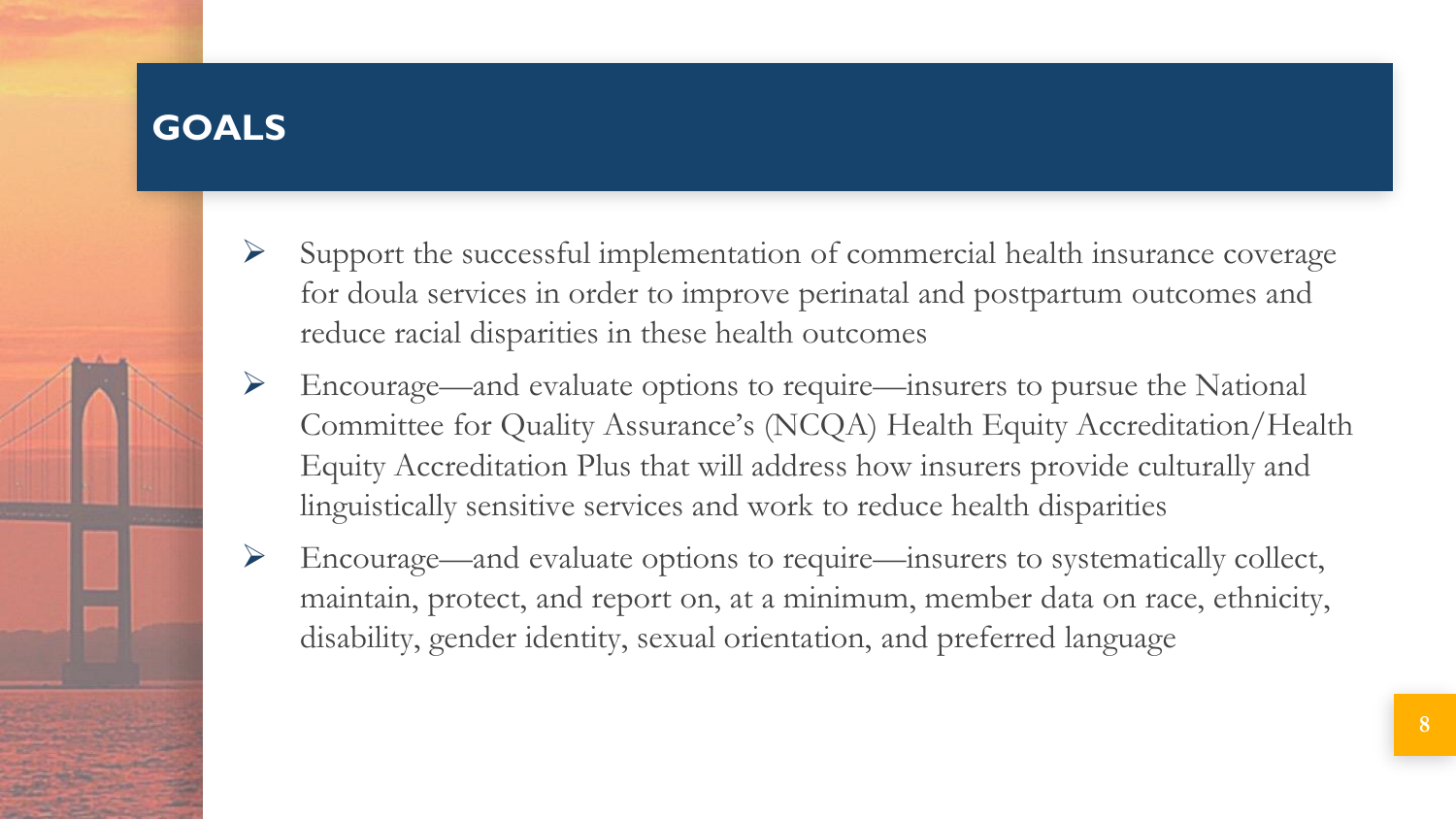# **GOALS**

- Support the successful implementation of commercial health insurance coverage for doula services in order to improve perinatal and postpartum outcomes and reduce racial disparities in these health outcomes
- ➢ Encourage—and evaluate options to require—insurers to pursue the National Committee for Quality Assurance's (NCQA) Health Equity Accreditation/Health Equity Accreditation Plus that will address how insurers provide culturally and linguistically sensitive services and work to reduce health disparities
- ➢ Encourage—and evaluate options to require—insurers to systematically collect, maintain, protect, and report on, at a minimum, member data on race, ethnicity, disability, gender identity, sexual orientation, and preferred language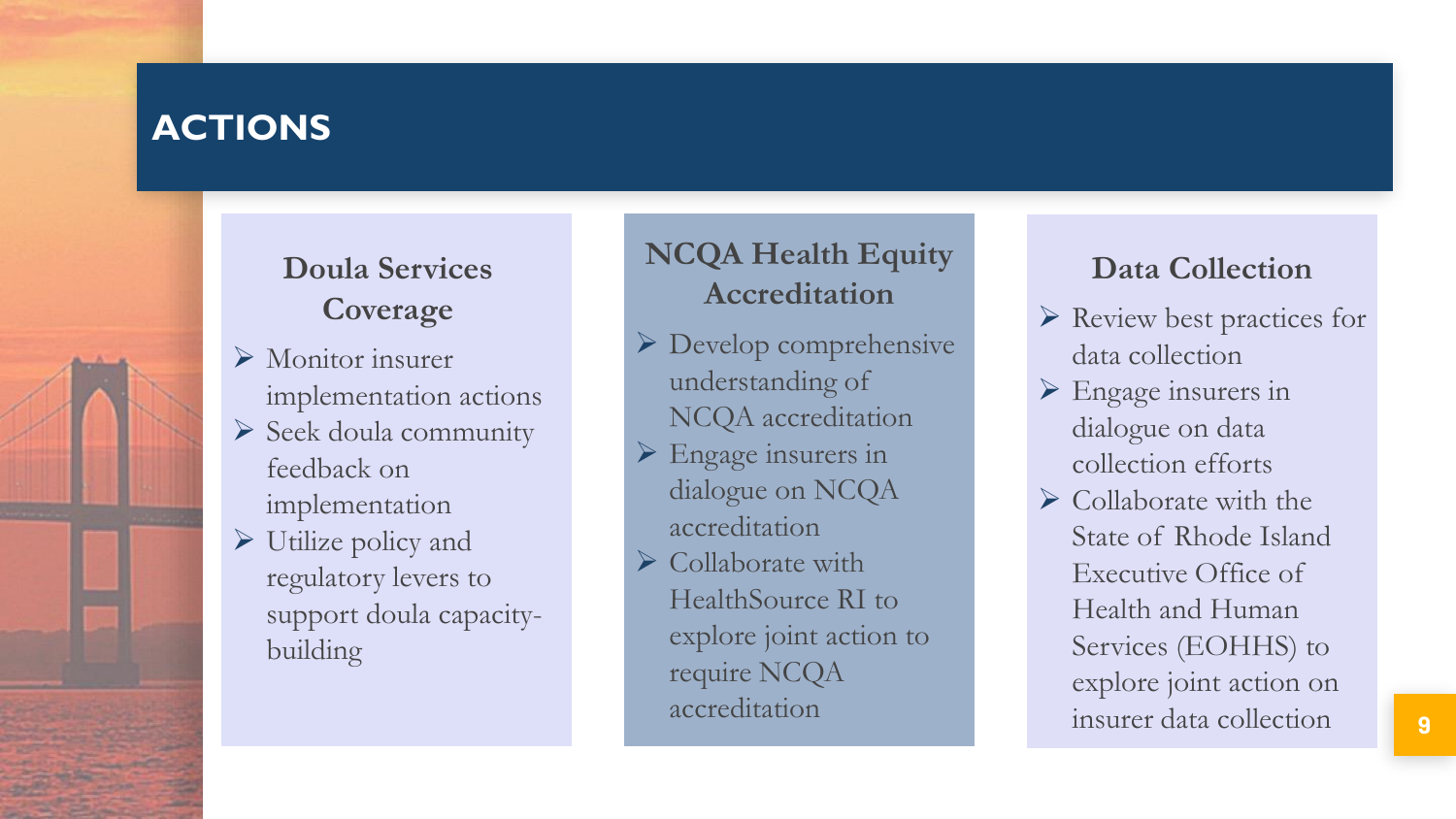## **ACTIONS**

## **Doula Services Coverage**

- ➢ Monitor insurer implementation actions
- ➢ Seek doula community feedback on implementation
- $\triangleright$  Utilize policy and regulatory levers to support doula capacitybuilding

## **NCQA Health Equity Accreditation**

- ➢ Develop comprehensive understanding of NCQA accreditation
- $\triangleright$  Engage insurers in dialogue on NCQA accreditation
- ➢ Collaborate with HealthSource RI to explore joint action to require NCQA accreditation

#### **Data Collection**

- ➢ Review best practices for data collection
- $\triangleright$  Engage insurers in dialogue on data collection efforts
- $\triangleright$  Collaborate with the State of Rhode Island Executive Office of Health and Human Services (EOHHS) to explore joint action on insurer data collection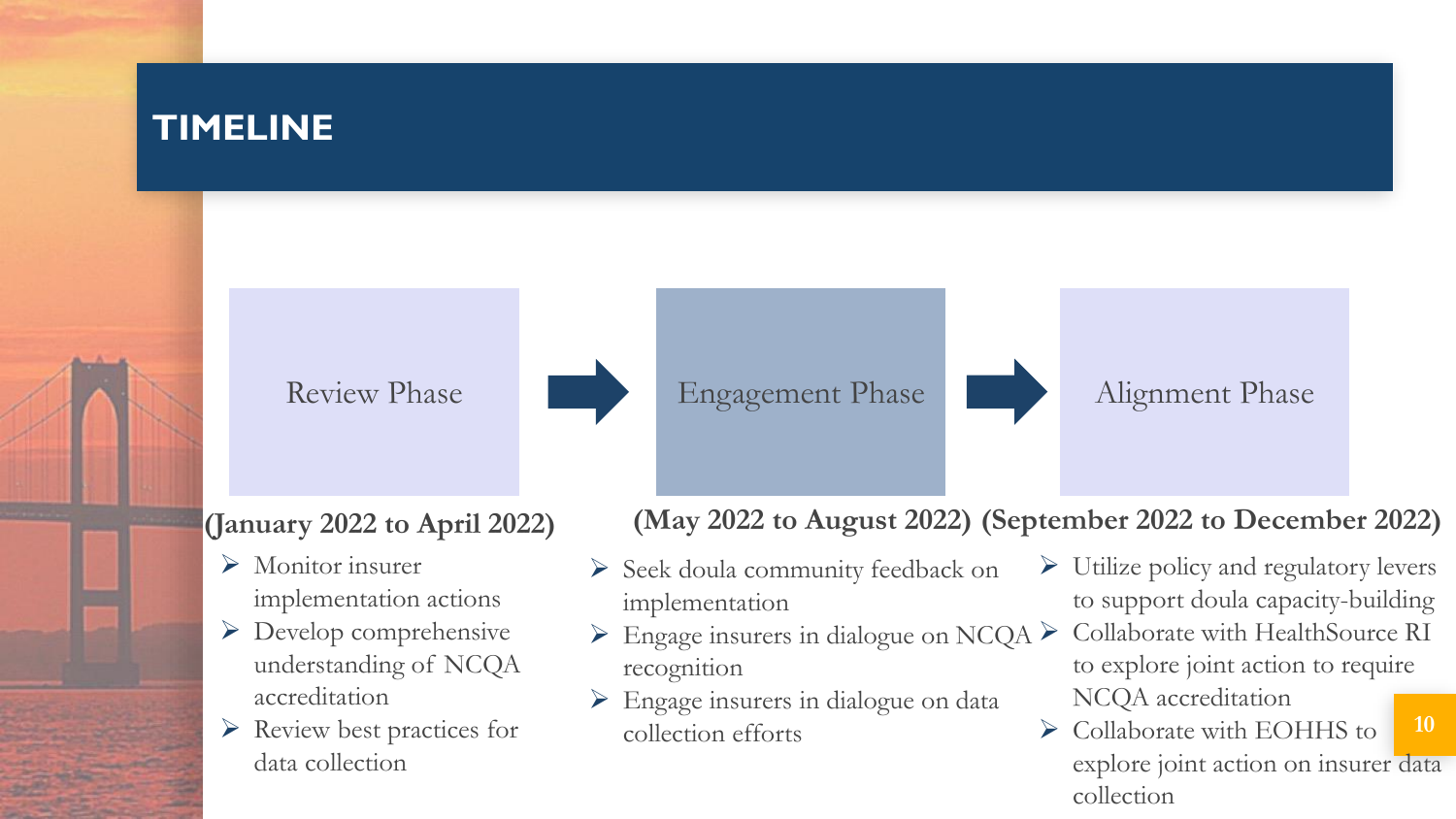## **TIMELINE**

Review Phase Engagement Phase Alignment Phase



- ➢ Monitor insurer implementation actions
- ➢ Develop comprehensive understanding of NCQA accreditation
- ➢ Review best practices for data collection

#### **(January 2022 to April 2022) (May 2022 to August 2022) (September 2022 to December 2022)**

- ➢ Seek doula community feedback on implementation
- $\triangleright$  Engage insurers in dialogue on NCQA  $\triangleright$ recognition
- ➢ Engage insurers in dialogue on data collection efforts
- ➢ Utilize policy and regulatory levers to support doula capacity-building
- ➢ Collaborate with HealthSource RI to explore joint action to require NCQA accreditation
- **10** ➢ Collaborate with EOHHS to explore joint action on insurer data collection